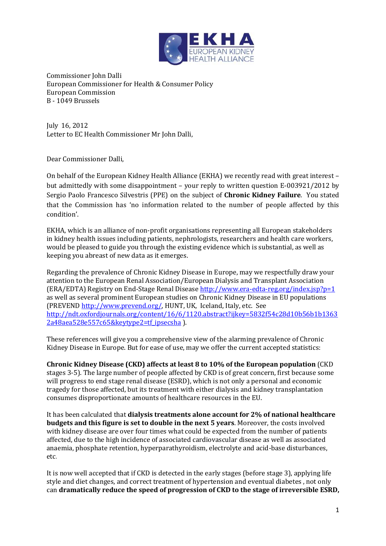

Commissioner John Dalli European Commissioner for Health & Consumer Policy European Commission B - 1049 Brussels

July 16, 2012 Letter to EC Health Commissioner Mr John Dalli,

Dear Commissioner Dalli,

On behalf of the European Kidney Health Alliance (EKHA) we recently read with great interest – but admittedly with some disappointment – your reply to written question E-003921/2012 by Sergio Paolo Francesco Silvestris (PPE) on the subject of **Chronic Kidney Failure**. You stated that the Commission has 'no information related to the number of people affected by this condition'.

EKHA, which is an alliance of non-profit organisations representing all European stakeholders in kidney health issues including patients, nephrologists, researchers and health care workers, would be pleased to guide you through the existing evidence which is substantial, as well as keeping you abreast of new data as it emerges.

Regarding the prevalence of Chronic Kidney Disease in Europe, may we respectfully draw your attention to the European Renal Association/European Dialysis and Transplant Association (ERA/EDTA) Registry on End-Stage Renal Diseas[e http://www.era-edta-reg.org/index.jsp?p=1](http://www.era-edta-reg.org/index.jsp?p=1)  as well as several prominent European studies on Chronic Kidney Disease in EU populations (PREVEND [http://www.prevend.org/,](http://www.prevend.org/) HUNT, UK, Iceland, Italy, etc. See [http://ndt.oxfordjournals.org/content/16/6/1120.abstract?ijkey=5832f54c28d10b56b1b1363](http://ndt.oxfordjournals.org/content/16/6/1120.abstract?ijkey=5832f54c28d10b56b1b13632a48aea528e557c65&keytype2=tf_ipsecsha) [2a48aea528e557c65&keytype2=tf\\_ipsecsha](http://ndt.oxfordjournals.org/content/16/6/1120.abstract?ijkey=5832f54c28d10b56b1b13632a48aea528e557c65&keytype2=tf_ipsecsha) ).

These references will give you a comprehensive view of the alarming prevalence of Chronic Kidney Disease in Europe. But for ease of use, may we offer the current accepted statistics:

**Chronic Kidney Disease (CKD) affects at least 8 to 10% of the European population** (CKD stages 3-5). The large number of people affected by CKD is of great concern, first because some will progress to end stage renal disease (ESRD), which is not only a personal and economic tragedy for those affected, but its treatment with either dialysis and kidney transplantation consumes disproportionate amounts of healthcare resources in the EU.

It has been calculated that **dialysis treatments alone account for 2% of national healthcare budgets and this figure is set to double in the next 5 years**. Moreover, the costs involved with kidney disease are over four times what could be expected from the number of patients affected, due to the high incidence of associated cardiovascular disease as well as associated anaemia, phosphate retention, hyperparathyroidism, electrolyte and acid-base disturbances, etc.

It is now well accepted that if CKD is detected in the early stages (before stage 3), applying life style and diet changes, and correct treatment of hypertension and eventual diabetes , not only can **dramatically reduce the speed of progression of CKD to the stage of irreversible ESRD,**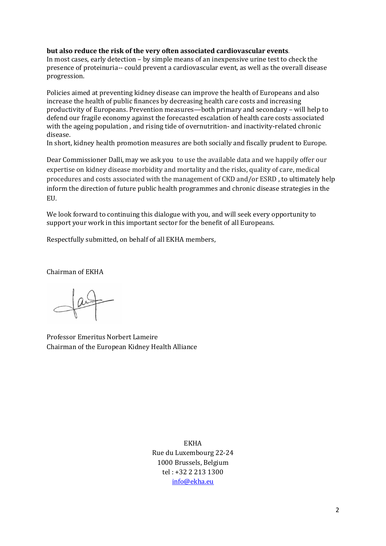## **but also reduce the risk of the very often associated cardiovascular events**.

In most cases, early detection – by simple means of an inexpensive urine test to check the presence of proteinuria-- could prevent a cardiovascular event, as well as the overall disease progression.

Policies aimed at preventing kidney disease can improve the health of Europeans and also increase the health of public finances by decreasing health care costs and increasing productivity of Europeans. Prevention measures—both primary and secondary – will help to defend our fragile economy against the forecasted escalation of health care costs associated with the ageing population , and rising tide of overnutrition- and inactivity-related chronic disease.

In short, kidney health promotion measures are both socially and fiscally prudent to Europe.

Dear Commissioner Dalli, may we ask you to use the available data and we happily offer our expertise on kidney disease morbidity and mortality and the risks, quality of care, medical procedures and costs associated with the management of CKD and/or ESRD , to ultimately help inform the direction of future public health programmes and chronic disease strategies in the EU.

We look forward to continuing this dialogue with you, and will seek every opportunity to support your work in this important sector for the benefit of all Europeans.

Respectfully submitted, on behalf of all EKHA members,

Chairman of EKHA

Professor Emeritus Norbert Lameire Chairman of the European Kidney Health Alliance

EKHA Rue du Luxembourg 22-24 1000 Brussels, Belgium tel : +32 2 213 1300 [info@ekha.eu](mailto:info@ekha.eu)